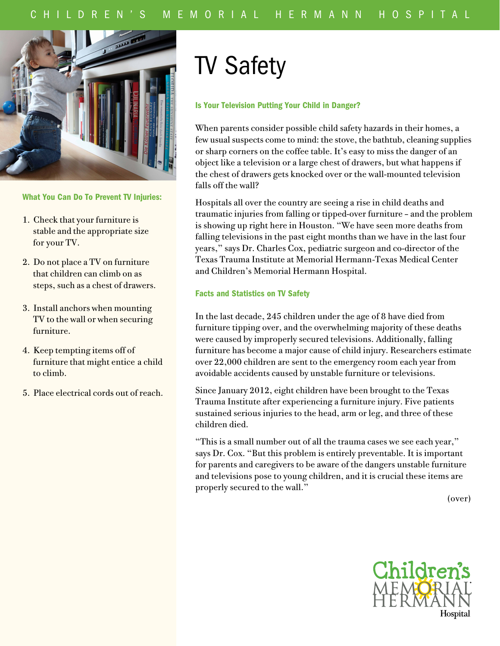

# What You Can Do To Prevent TV Injuries:

- 1. Check that your furniture is stable and the appropriate size for your TV.
- 2. Do not place a TV on furniture that children can climb on as steps, such as a chest of drawers.
- 3. Install anchors when mounting TV to the wall or when securing furniture.
- 4. Keep tempting items off of furniture that might entice a child to climb.
- 5. Place electrical cords out of reach.

# TV Safety

### Is Your Television Putting Your Child in Danger?

When parents consider possible child safety hazards in their homes, a few usual suspects come to mind: the stove, the bathtub, cleaning supplies or sharp corners on the coffee table. It's easy to miss the danger of an object like a television or a large chest of drawers, but what happens if the chest of drawers gets knocked over or the wall-mounted television falls off the wall?

Hospitals all over the country are seeing a rise in child deaths and traumatic injuries from falling or tipped-over furniture – and the problem is showing up right here in Houston. "We have seen more deaths from falling televisions in the past eight months than we have in the last four years," says Dr. Charles Cox, pediatric surgeon and co-director of the Texas Trauma Institute at Memorial Hermann-Texas Medical Center and Children's Memorial Hermann Hospital.

## Facts and Statistics on TV Safety

In the last decade, 245 children under the age of 8 have died from furniture tipping over, and the overwhelming majority of these deaths were caused by improperly secured televisions. Additionally, falling furniture has become a major cause of child injury. Researchers estimate over 22,000 children are sent to the emergency room each year from avoidable accidents caused by unstable furniture or televisions.

Since January 2012, eight children have been brought to the Texas Trauma Institute after experiencing a furniture injury. Five patients sustained serious injuries to the head, arm or leg, and three of these children died.

"This is a small number out of all the trauma cases we see each year," says Dr. Cox. "But this problem is entirely preventable. It is important for parents and caregivers to be aware of the dangers unstable furniture and televisions pose to young children, and it is crucial these items are properly secured to the wall."

(over)